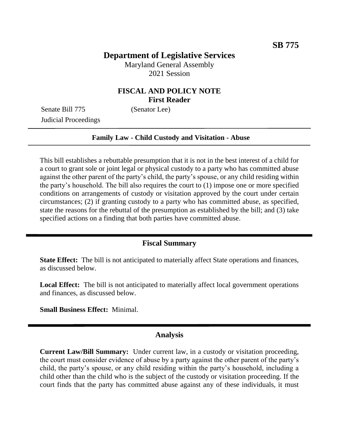## **Department of Legislative Services**

Maryland General Assembly 2021 Session

### **FISCAL AND POLICY NOTE First Reader**

Senate Bill 775 (Senator Lee) Judicial Proceedings

#### **Family Law - Child Custody and Visitation - Abuse**

This bill establishes a rebuttable presumption that it is not in the best interest of a child for a court to grant sole or joint legal or physical custody to a party who has committed abuse against the other parent of the party's child, the party's spouse, or any child residing within the party's household. The bill also requires the court to (1) impose one or more specified conditions on arrangements of custody or visitation approved by the court under certain circumstances; (2) if granting custody to a party who has committed abuse, as specified, state the reasons for the rebuttal of the presumption as established by the bill; and (3) take specified actions on a finding that both parties have committed abuse.

### **Fiscal Summary**

**State Effect:** The bill is not anticipated to materially affect State operations and finances, as discussed below.

**Local Effect:** The bill is not anticipated to materially affect local government operations and finances, as discussed below.

**Small Business Effect:** Minimal.

### **Analysis**

**Current Law/Bill Summary:** Under current law, in a custody or visitation proceeding, the court must consider evidence of abuse by a party against the other parent of the party's child, the party's spouse, or any child residing within the party's household, including a child other than the child who is the subject of the custody or visitation proceeding. If the court finds that the party has committed abuse against any of these individuals, it must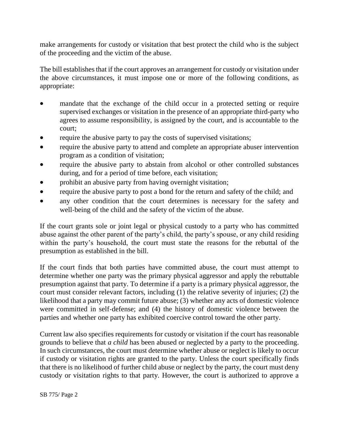make arrangements for custody or visitation that best protect the child who is the subject of the proceeding and the victim of the abuse.

The bill establishes that if the court approves an arrangement for custody or visitation under the above circumstances, it must impose one or more of the following conditions, as appropriate:

- mandate that the exchange of the child occur in a protected setting or require supervised exchanges or visitation in the presence of an appropriate third-party who agrees to assume responsibility, is assigned by the court, and is accountable to the court;
- require the abusive party to pay the costs of supervised visitations;
- require the abusive party to attend and complete an appropriate abuser intervention program as a condition of visitation;
- require the abusive party to abstain from alcohol or other controlled substances during, and for a period of time before, each visitation;
- prohibit an abusive party from having overnight visitation;
- require the abusive party to post a bond for the return and safety of the child; and
- any other condition that the court determines is necessary for the safety and well-being of the child and the safety of the victim of the abuse.

If the court grants sole or joint legal or physical custody to a party who has committed abuse against the other parent of the party's child, the party's spouse, or any child residing within the party's household, the court must state the reasons for the rebuttal of the presumption as established in the bill.

If the court finds that both parties have committed abuse, the court must attempt to determine whether one party was the primary physical aggressor and apply the rebuttable presumption against that party. To determine if a party is a primary physical aggressor, the court must consider relevant factors, including (1) the relative severity of injuries; (2) the likelihood that a party may commit future abuse; (3) whether any acts of domestic violence were committed in self-defense; and (4) the history of domestic violence between the parties and whether one party has exhibited coercive control toward the other party.

Current law also specifies requirements for custody or visitation if the court has reasonable grounds to believe that *a child* has been abused or neglected by a party to the proceeding. In such circumstances, the court must determine whether abuse or neglect is likely to occur if custody or visitation rights are granted to the party. Unless the court specifically finds that there is no likelihood of further child abuse or neglect by the party, the court must deny custody or visitation rights to that party. However, the court is authorized to approve a